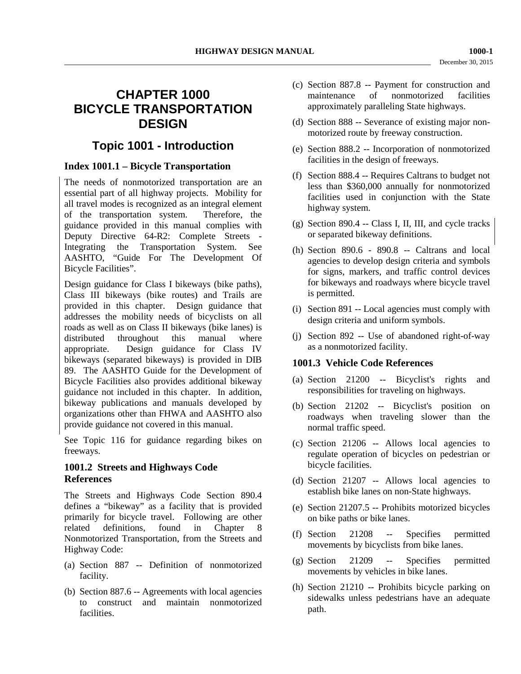# **CHAPTER 1000 BICYCLE TRANSPORTATION DESIGN**

## **Topic 1001 - Introduction**

## **Index 1001.1 – Bicycle Transportation**

The needs of nonmotorized transportation are an essential part of all highway projects. Mobility for all travel modes is recognized as an integral element of the transportation system. Therefore, the guidance provided in this manual complies with Deputy Directive 64-R2: Complete Streets - Integrating the Transportation System. See AASHTO, "Guide For The Development Of Bicycle Facilities".

Design guidance for Class I bikeways (bike paths), Class III bikeways (bike routes) and Trails are provided in this chapter. Design guidance that addresses the mobility needs of bicyclists on all roads as well as on Class II bikeways (bike lanes) is distributed throughout this manual where appropriate. Design guidance for Class IV bikeways (separated bikeways) is provided in DIB 89. The AASHTO Guide for the Development of Bicycle Facilities also provides additional bikeway guidance not included in this chapter. In addition, bikeway publications and manuals developed by organizations other than FHWA and AASHTO also provide guidance not covered in this manual.

See Topic 116 for guidance regarding bikes on freeways.

## **1001.2 Streets and Highways Code References**

The Streets and Highways Code Section 890.4 defines a "bikeway" as a facility that is provided primarily for bicycle travel. Following are other related definitions, found in Chapter 8 Nonmotorized Transportation, from the Streets and Highway Code:

- (a) Section 887 -- Definition of nonmotorized facility.
- (b) Section 887.6 -- Agreements with local agencies to construct and maintain nonmotorized facilities.
- (c) Section 887.8 -- Payment for construction and maintenance of nonmotorized facilities approximately paralleling State highways.
- (d) Section 888 -- Severance of existing major nonmotorized route by freeway construction.
- (e) Section 888.2 -- Incorporation of nonmotorized facilities in the design of freeways.
- (f) Section 888.4 -- Requires Caltrans to budget not less than \$360,000 annually for nonmotorized facilities used in conjunction with the State highway system.
- (g) Section 890.4 -- Class I, II, III, and cycle tracks or separated bikeway definitions.
- (h) Section 890.6 890.8 -- Caltrans and local agencies to develop design criteria and symbols for signs, markers, and traffic control devices for bikeways and roadways where bicycle travel is permitted.
- (i) Section 891 -- Local agencies must comply with design criteria and uniform symbols.
- (j) Section 892 -- Use of abandoned right-of-way as a nonmotorized facility.

#### **1001.3 Vehicle Code References**

- (a) Section 21200 -- Bicyclist's rights and responsibilities for traveling on highways.
- (b) Section 21202 -- Bicyclist's position on roadways when traveling slower than the normal traffic speed.
- (c) Section 21206 -- Allows local agencies to regulate operation of bicycles on pedestrian or bicycle facilities.
- (d) Section 21207 -- Allows local agencies to establish bike lanes on non-State highways.
- (e) Section 21207.5 -- Prohibits motorized bicycles on bike paths or bike lanes.
- (f) Section 21208 -- Specifies permitted movements by bicyclists from bike lanes.
- (g) Section 21209 -- Specifies permitted movements by vehicles in bike lanes.
- (h) Section 21210 -- Prohibits bicycle parking on sidewalks unless pedestrians have an adequate path.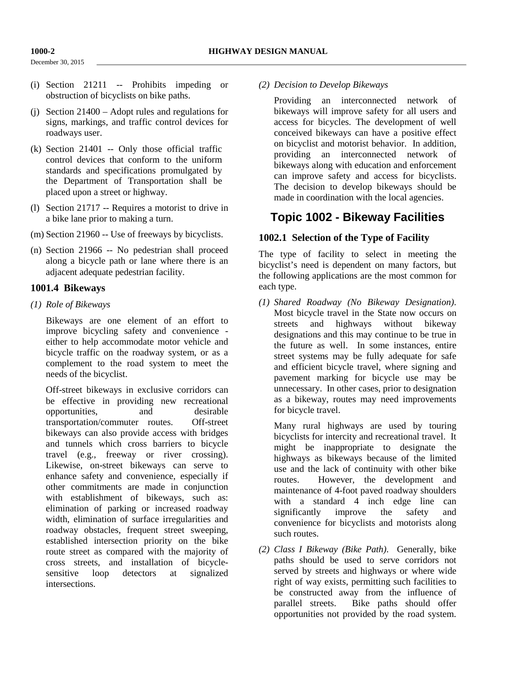December 30, 2015

- (i) Section 21211 -- Prohibits impeding or obstruction of bicyclists on bike paths.
- (j) Section 21400 Adopt rules and regulations for signs, markings, and traffic control devices for roadways user.
- (k) Section 21401 -- Only those official traffic control devices that conform to the uniform standards and specifications promulgated by the Department of Transportation shall be placed upon a street or highway.
- (l) Section 21717 -- Requires a motorist to drive in a bike lane prior to making a turn.
- (m) Section 21960 -- Use of freeways by bicyclists.
- (n) Section 21966 -- No pedestrian shall proceed along a bicycle path or lane where there is an adjacent adequate pedestrian facility.

#### **1001.4 Bikeways**

#### *(1) Role of Bikeways*

Bikeways are one element of an effort to improve bicycling safety and convenience either to help accommodate motor vehicle and bicycle traffic on the roadway system, or as a complement to the road system to meet the needs of the bicyclist.

Off-street bikeways in exclusive corridors can be effective in providing new recreational opportunities, and desirable transportation/commuter routes. Off-street bikeways can also provide access with bridges and tunnels which cross barriers to bicycle travel (e.g., freeway or river crossing). Likewise, on-street bikeways can serve to enhance safety and convenience, especially if other commitments are made in conjunction with establishment of bikeways, such as: elimination of parking or increased roadway width, elimination of surface irregularities and roadway obstacles, frequent street sweeping, established intersection priority on the bike route street as compared with the majority of cross streets, and installation of bicyclesensitive loop detectors at signalized intersections.

*(2) Decision to Develop Bikeways*

Providing an interconnected network of bikeways will improve safety for all users and access for bicycles. The development of well conceived bikeways can have a positive effect on bicyclist and motorist behavior. In addition, providing an interconnected network of bikeways along with education and enforcement can improve safety and access for bicyclists. The decision to develop bikeways should be made in coordination with the local agencies.

## **Topic 1002 - Bikeway Facilities**

## **1002.1 Selection of the Type of Facility**

The type of facility to select in meeting the bicyclist's need is dependent on many factors, but the following applications are the most common for each type.

*(1) Shared Roadway (No Bikeway Designation)*. Most bicycle travel in the State now occurs on streets and highways without bikeway designations and this may continue to be true in the future as well. In some instances, entire street systems may be fully adequate for safe and efficient bicycle travel, where signing and pavement marking for bicycle use may be unnecessary. In other cases, prior to designation as a bikeway, routes may need improvements for bicycle travel.

Many rural highways are used by touring bicyclists for intercity and recreational travel. It might be inappropriate to designate the highways as bikeways because of the limited use and the lack of continuity with other bike routes. However, the development and maintenance of 4-foot paved roadway shoulders with a standard 4 inch edge line can significantly improve the safety and convenience for bicyclists and motorists along such routes.

*(2) Class I Bikeway (Bike Path)*. Generally, bike paths should be used to serve corridors not served by streets and highways or where wide right of way exists, permitting such facilities to be constructed away from the influence of parallel streets. Bike paths should offer opportunities not provided by the road system.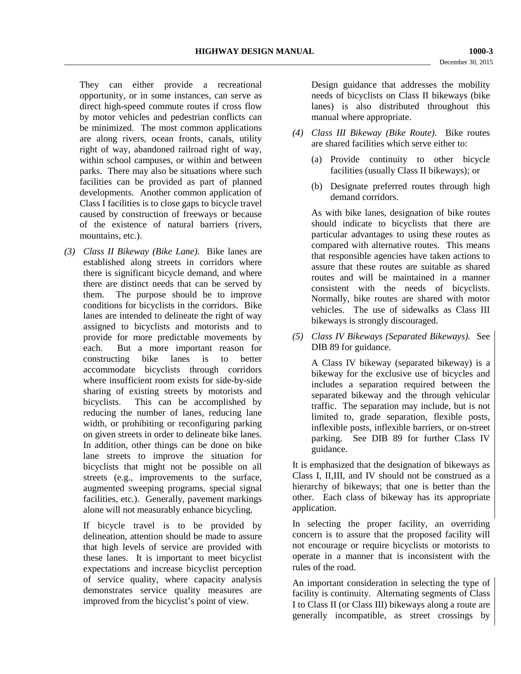They can either provide a recreational opportunity, or in some instances, can serve as direct high-speed commute routes if cross flow by motor vehicles and pedestrian conflicts can be minimized. The most common applications are along rivers, ocean fronts, canals, utility right of way, abandoned railroad right of way, within school campuses, or within and between parks. There may also be situations where such facilities can be provided as part of planned developments. Another common application of Class I facilities is to close gaps to bicycle travel caused by construction of freeways or because of the existence of natural barriers (rivers, mountains, etc.).

*(3) Class II Bikeway (Bike Lane)*. Bike lanes are established along streets in corridors where there is significant bicycle demand, and where there are distinct needs that can be served by them. The purpose should be to improve conditions for bicyclists in the corridors. Bike lanes are intended to delineate the right of way assigned to bicyclists and motorists and to provide for more predictable movements by each. But a more important reason for constructing bike lanes is to better accommodate bicyclists through corridors where insufficient room exists for side-by-side sharing of existing streets by motorists and bicyclists. This can be accomplished by reducing the number of lanes, reducing lane width, or prohibiting or reconfiguring parking on given streets in order to delineate bike lanes. In addition, other things can be done on bike lane streets to improve the situation for bicyclists that might not be possible on all streets (e.g., improvements to the surface, augmented sweeping programs, special signal facilities, etc.). Generally, pavement markings alone will not measurably enhance bicycling.

If bicycle travel is to be provided by delineation, attention should be made to assure that high levels of service are provided with these lanes. It is important to meet bicyclist expectations and increase bicyclist perception of service quality, where capacity analysis demonstrates service quality measures are improved from the bicyclist's point of view.

Design guidance that addresses the mobility needs of bicyclists on Class II bikeways (bike lanes) is also distributed throughout this manual where appropriate.

- *(4) Class III Bikeway (Bike Route)*. Bike routes are shared facilities which serve either to:
	- (a) Provide continuity to other bicycle facilities (usually Class II bikeways); or
	- (b) Designate preferred routes through high demand corridors.

As with bike lanes, designation of bike routes should indicate to bicyclists that there are particular advantages to using these routes as compared with alternative routes. This means that responsible agencies have taken actions to assure that these routes are suitable as shared routes and will be maintained in a manner consistent with the needs of bicyclists. Normally, bike routes are shared with motor vehicles. The use of sidewalks as Class III bikeways is strongly discouraged.

*(5) Class IV Bikeways (Separated Bikeways).* See DIB 89 for guidance.

A Class IV bikeway (separated bikeway) is a bikeway for the exclusive use of bicycles and includes a separation required between the separated bikeway and the through vehicular traffic. The separation may include, but is not limited to, grade separation, flexible posts, inflexible posts, inflexible barriers, or on-street parking. See DIB 89 for further Class IV guidance.

It is emphasized that the designation of bikeways as Class I, II,III, and IV should not be construed as a hierarchy of bikeways; that one is better than the other. Each class of bikeway has its appropriate application.

In selecting the proper facility, an overriding concern is to assure that the proposed facility will not encourage or require bicyclists or motorists to operate in a manner that is inconsistent with the rules of the road.

An important consideration in selecting the type of facility is continuity. Alternating segments of Class I to Class II (or Class III) bikeways along a route are generally incompatible, as street crossings by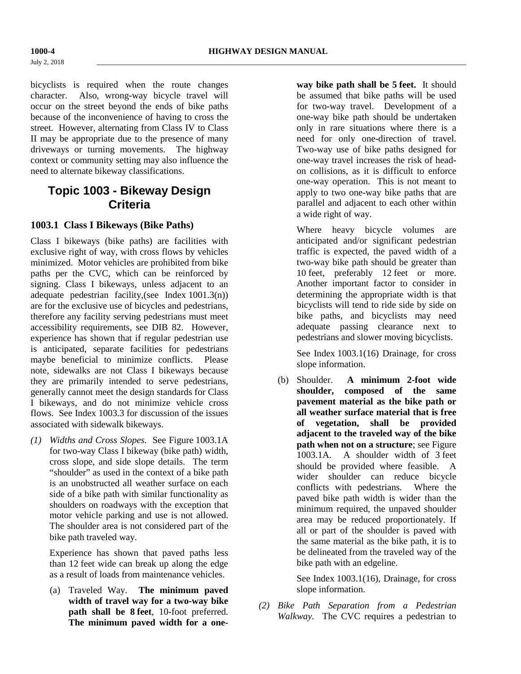bicyclists is required when the route changes character. Also, wrong-way bicycle travel will occur on the street beyond the ends of bike paths because of the inconvenience of having to cross the street. However, alternating from Class IV to Class II may be appropriate due to the presence of many driveways or turning movements. The highway context or community setting may also influence the need to alternate bikeway classifications.

## **Topic 1003 - Bikeway Design Criteria**

## **1003.1 Class I Bikeways (Bike Paths)**

Class I bikeways (bike paths) are facilities with exclusive right of way, with cross flows by vehicles minimized. Motor vehicles are prohibited from bike paths per the CVC, which can be reinforced by signing. Class I bikeways, unless adjacent to an adequate pedestrian facility,(see Index 1001.3(n)) are for the exclusive use of bicycles and pedestrians, therefore any facility serving pedestrians must meet accessibility requirements, see DIB 82. However, experience has shown that if regular pedestrian use is anticipated, separate facilities for pedestrians maybe beneficial to minimize conflicts. Please note, sidewalks are not Class I bikeways because they are primarily intended to serve pedestrians, generally cannot meet the design standards for Class I bikeways, and do not minimize vehicle cross flows. See Index 1003.3 for discussion of the issues associated with sidewalk bikeways.

*(1) Widths and Cross Slopes.* See Figure 1003.1A for two-way Class I bikeway (bike path) width, cross slope, and side slope details. The term "shoulder" as used in the context of a bike path is an unobstructed all weather surface on each side of a bike path with similar functionality as shoulders on roadways with the exception that motor vehicle parking and use is not allowed. The shoulder area is not considered part of the bike path traveled way.

Experience has shown that paved paths less than 12 feet wide can break up along the edge as a result of loads from maintenance vehicles.

(a) Traveled Way. **The minimum paved width of travel way for a two-way bike path shall be 8 feet**, 10-foot preferred. **The minimum paved width for a one-** **way bike path shall be 5 feet.** It should be assumed that bike paths will be used for two-way travel. Development of a one-way bike path should be undertaken only in rare situations where there is a need for only one-direction of travel. Two-way use of bike paths designed for one-way travel increases the risk of headon collisions, as it is difficult to enforce one-way operation. This is not meant to apply to two one-way bike paths that are parallel and adjacent to each other within a wide right of way.

Where heavy bicycle volumes are anticipated and/or significant pedestrian traffic is expected, the paved width of a two-way bike path should be greater than 10 feet, preferably 12 feet or more. Another important factor to consider in determining the appropriate width is that bicyclists will tend to ride side by side on bike paths, and bicyclists may need adequate passing clearance next to pedestrians and slower moving bicyclists.

See Index 1003.1(16) Drainage, for cross slope information.

(b) Shoulder. **A minimum 2-foot wide shoulder, composed of the same pavement material as the bike path or all weather surface material that is free of vegetation, shall be provided adjacent to the traveled way of the bike path when not on a structure**; see Figure 1003.1A. A shoulder width of 3 feet should be provided where feasible. A wider shoulder can reduce bicycle conflicts with pedestrians. Where the paved bike path width is wider than the minimum required, the unpaved shoulder area may be reduced proportionately. If all or part of the shoulder is paved with the same material as the bike path, it is to be delineated from the traveled way of the bike path with an edgeline.

> See Index 1003.1(16), Drainage, for cross slope information.

*(2) Bike Path Separation from a Pedestrian Walkway.* The CVC requires a pedestrian to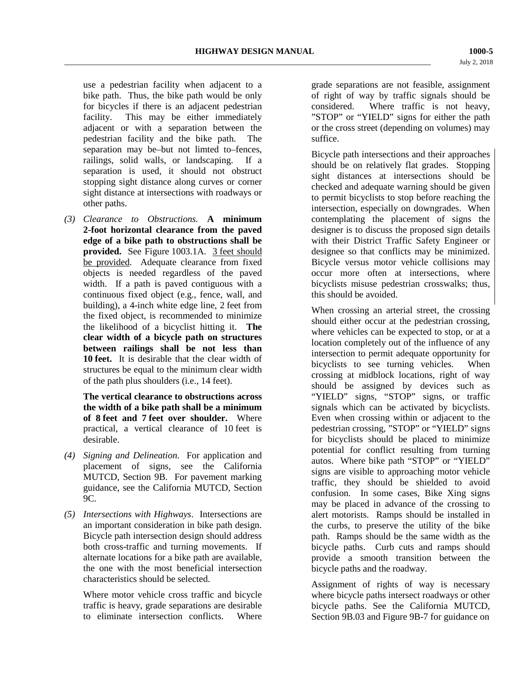use a pedestrian facility when adjacent to a bike path. Thus, the bike path would be only for bicycles if there is an adjacent pedestrian facility. This may be either immediately adjacent or with a separation between the pedestrian facility and the bike path. The separation may be–but not limted to–fences, railings, solid walls, or landscaping. If a separation is used, it should not obstruct stopping sight distance along curves or corner sight distance at intersections with roadways or other paths.

*(3) Clearance to Obstructions.* **A minimum 2-foot horizontal clearance from the paved edge of a bike path to obstructions shall be provided.** See Figure 1003.1A. 3 feet should be provided. Adequate clearance from fixed objects is needed regardless of the paved width. If a path is paved contiguous with a continuous fixed object (e.g., fence, wall, and building), a 4-inch white edge line, 2 feet from the fixed object, is recommended to minimize the likelihood of a bicyclist hitting it. **The clear width of a bicycle path on structures between railings shall be not less than 10 feet.** It is desirable that the clear width of structures be equal to the minimum clear width of the path plus shoulders (i.e., 14 feet).

**The vertical clearance to obstructions across the width of a bike path shall be a minimum of 8 feet and 7 feet over shoulder.** Where practical, a vertical clearance of 10 feet is desirable.

- *(4) Signing and Delineation*. For application and placement of signs, see the California MUTCD, Section 9B. For pavement marking guidance, see the California MUTCD, Section 9C.
- *(5) Intersections with Highways*. Intersections are an important consideration in bike path design. Bicycle path intersection design should address both cross-traffic and turning movements. If alternate locations for a bike path are available, the one with the most beneficial intersection characteristics should be selected.

Where motor vehicle cross traffic and bicycle traffic is heavy, grade separations are desirable to eliminate intersection conflicts. Where

grade separations are not feasible, assignment of right of way by traffic signals should be considered. Where traffic is not heavy, "STOP" or "YIELD" signs for either the path or the cross street (depending on volumes) may suffice.

Bicycle path intersections and their approaches should be on relatively flat grades. Stopping sight distances at intersections should be checked and adequate warning should be given to permit bicyclists to stop before reaching the intersection, especially on downgrades. When contemplating the placement of signs the designer is to discuss the proposed sign details with their District Traffic Safety Engineer or designee so that conflicts may be minimized. Bicycle versus motor vehicle collisions may occur more often at intersections, where bicyclists misuse pedestrian crosswalks; thus, this should be avoided.

When crossing an arterial street, the crossing should either occur at the pedestrian crossing, where vehicles can be expected to stop, or at a location completely out of the influence of any intersection to permit adequate opportunity for bicyclists to see turning vehicles. When crossing at midblock locations, right of way should be assigned by devices such as "YIELD" signs, "STOP" signs, or traffic signals which can be activated by bicyclists. Even when crossing within or adjacent to the pedestrian crossing, "STOP" or "YIELD" signs for bicyclists should be placed to minimize potential for conflict resulting from turning autos. Where bike path "STOP" or "YIELD" signs are visible to approaching motor vehicle traffic, they should be shielded to avoid confusion. In some cases, Bike Xing signs may be placed in advance of the crossing to alert motorists. Ramps should be installed in the curbs, to preserve the utility of the bike path. Ramps should be the same width as the bicycle paths. Curb cuts and ramps should provide a smooth transition between the bicycle paths and the roadway.

Assignment of rights of way is necessary where bicycle paths intersect roadways or other bicycle paths. See the California MUTCD, Section 9B.03 and Figure 9B-7 for guidance on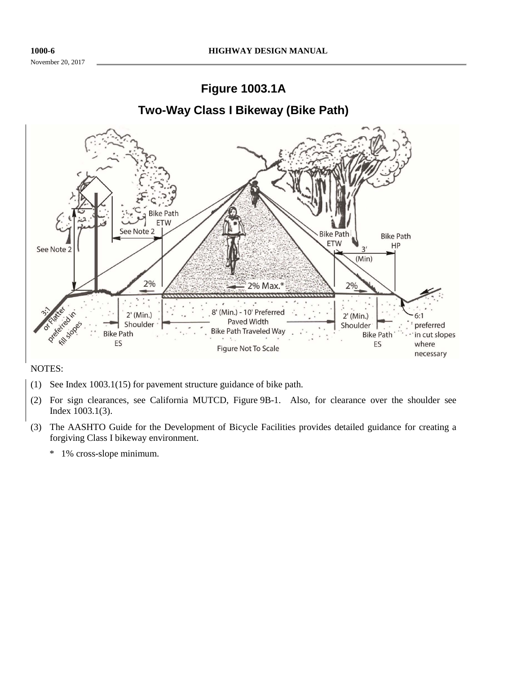November 20, 2017



NOTES:

- (1) See Index 1003.1(15) for pavement structure guidance of bike path.
- (2) For sign clearances, see California MUTCD, Figure 9B-1. Also, for clearance over the shoulder see Index 1003.1(3).
- (3) The AASHTO Guide for the Development of Bicycle Facilities provides detailed guidance for creating a forgiving Class I bikeway environment.
	- \* 1% cross-slope minimum.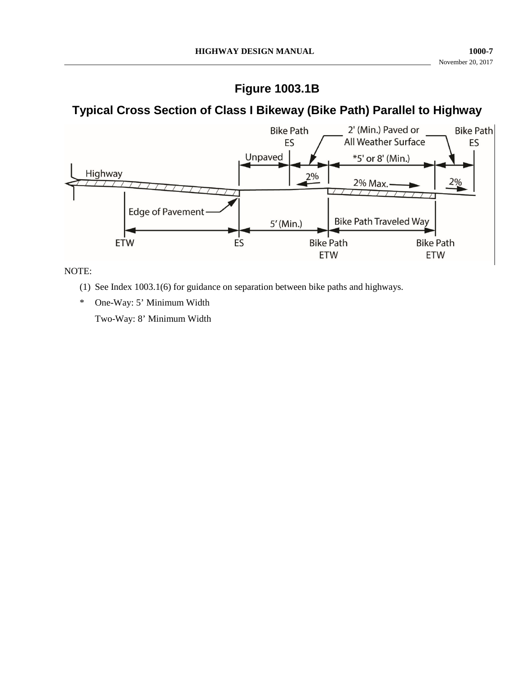## **Figure 1003.1B**

# **Typical Cross Section of Class I Bikeway (Bike Path) Parallel to Highway**



NOTE:

- (1) See Index 1003.1(6) for guidance on separation between bike paths and highways.
- \* One-Way: 5' Minimum Width

Two-Way: 8' Minimum Width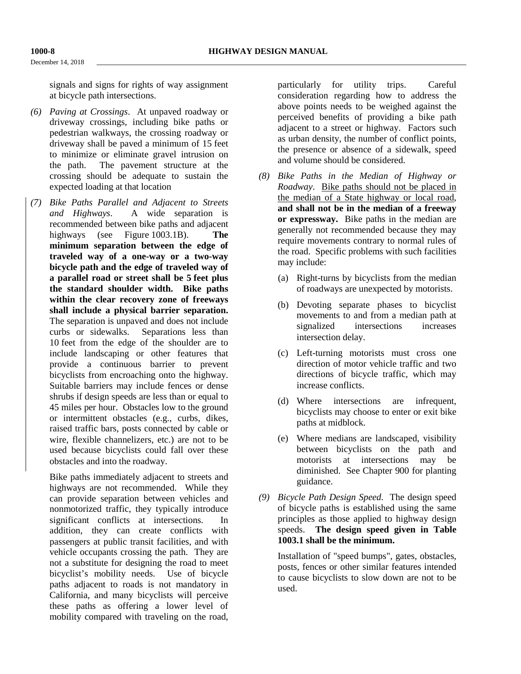December 14, 2018

signals and signs for rights of way assignment at bicycle path intersections.

- *(6) Paving at Crossings*. At unpaved roadway or driveway crossings, including bike paths or pedestrian walkways, the crossing roadway or driveway shall be paved a minimum of 15 feet to minimize or eliminate gravel intrusion on the path. The pavement structure at the crossing should be adequate to sustain the expected loading at that location
- *(7) Bike Paths Parallel and Adjacent to Streets and Highways*. A wide separation is recommended between bike paths and adjacent highways (see Figure 1003.1B). **The minimum separation between the edge of traveled way of a one-way or a two-way bicycle path and the edge of traveled way of a parallel road or street shall be 5 feet plus the standard shoulder width. Bike paths within the clear recovery zone of freeways shall include a physical barrier separation.** The separation is unpaved and does not include curbs or sidewalks. Separations less than 10 feet from the edge of the shoulder are to include landscaping or other features that provide a continuous barrier to prevent bicyclists from encroaching onto the highway. Suitable barriers may include fences or dense shrubs if design speeds are less than or equal to 45 miles per hour. Obstacles low to the ground or intermittent obstacles (e.g., curbs, dikes, raised traffic bars, posts connected by cable or wire, flexible channelizers, etc.) are not to be used because bicyclists could fall over these obstacles and into the roadway.

Bike paths immediately adjacent to streets and highways are not recommended. While they can provide separation between vehicles and nonmotorized traffic, they typically introduce significant conflicts at intersections. In addition, they can create conflicts with passengers at public transit facilities, and with vehicle occupants crossing the path. They are not a substitute for designing the road to meet bicyclist's mobility needs. Use of bicycle paths adjacent to roads is not mandatory in California, and many bicyclists will perceive these paths as offering a lower level of mobility compared with traveling on the road,

particularly for utility trips. Careful consideration regarding how to address the above points needs to be weighed against the perceived benefits of providing a bike path adjacent to a street or highway. Factors such as urban density, the number of conflict points, the presence or absence of a sidewalk, speed and volume should be considered.

- *(8) Bike Paths in the Median of Highway or Roadway*. Bike paths should not be placed in the median of a State highway or local road, **and shall not be in the median of a freeway or expressway.** Bike paths in the median are generally not recommended because they may require movements contrary to normal rules of the road. Specific problems with such facilities may include:
	- (a) Right-turns by bicyclists from the median of roadways are unexpected by motorists.
	- (b) Devoting separate phases to bicyclist movements to and from a median path at signalized intersections increases intersection delay.
	- (c) Left-turning motorists must cross one direction of motor vehicle traffic and two directions of bicycle traffic, which may increase conflicts.
	- (d) Where intersections are infrequent, bicyclists may choose to enter or exit bike paths at midblock.
	- (e) Where medians are landscaped, visibility between bicyclists on the path and motorists at intersections may be diminished. See Chapter 900 for planting guidance.
- *(9) Bicycle Path Design Speed*. The design speed of bicycle paths is established using the same principles as those applied to highway design speeds. **The design speed given in Table 1003.1 shall be the minimum.**

Installation of "speed bumps", gates, obstacles, posts, fences or other similar features intended to cause bicyclists to slow down are not to be used.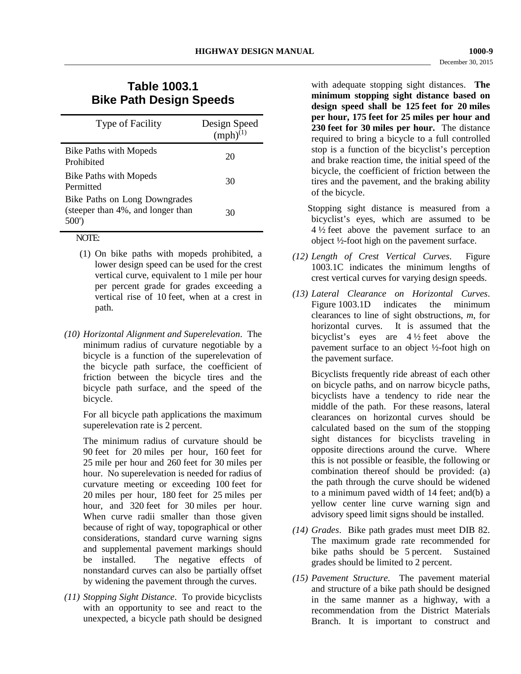## **Table 1003.1 Bike Path Design Speeds**

| <b>Type of Facility</b>                                                    | Design Speed<br>$(mph)^{(1)}$ |
|----------------------------------------------------------------------------|-------------------------------|
| <b>Bike Paths with Mopeds</b><br>Prohibited                                | 20                            |
| <b>Bike Paths with Mopeds</b><br>Permitted                                 | 30                            |
| Bike Paths on Long Downgrades<br>(steeper than 4%, and longer than<br>500' | 30                            |

## NOTE:

- (1) On bike paths with mopeds prohibited, a lower design speed can be used for the crest vertical curve, equivalent to 1 mile per hour per percent grade for grades exceeding a vertical rise of 10 feet, when at a crest in path.
- *(10) Horizontal Alignment and Superelevation*. The minimum radius of curvature negotiable by a bicycle is a function of the superelevation of the bicycle path surface, the coefficient of friction between the bicycle tires and the bicycle path surface, and the speed of the bicycle.

For all bicycle path applications the maximum superelevation rate is 2 percent.

The minimum radius of curvature should be 90 feet for 20 miles per hour, 160 feet for 25 mile per hour and 260 feet for 30 miles per hour. No superelevation is needed for radius of curvature meeting or exceeding 100 feet for 20 miles per hour, 180 feet for 25 miles per hour, and 320 feet for 30 miles per hour. When curve radii smaller than those given because of right of way, topographical or other considerations, standard curve warning signs and supplemental pavement markings should be installed. The negative effects of nonstandard curves can also be partially offset by widening the pavement through the curves.

*(11) Stopping Sight Distance*. To provide bicyclists with an opportunity to see and react to the unexpected, a bicycle path should be designed

with adequate stopping sight distances. **The minimum stopping sight distance based on design speed shall be 125 feet for 20 miles per hour, 175 feet for 25 miles per hour and 230 feet for 30 miles per hour.** The distance required to bring a bicycle to a full controlled stop is a function of the bicyclist's perception and brake reaction time, the initial speed of the bicycle, the coefficient of friction between the tires and the pavement, and the braking ability of the bicycle.

Stopping sight distance is measured from a bicyclist's eyes, which are assumed to be 4 ½ feet above the pavement surface to an object ½-foot high on the pavement surface.

- *(12) Length of Crest Vertical Curves*. Figure 1003.1C indicates the minimum lengths of crest vertical curves for varying design speeds.
- *(13) Lateral Clearance on Horizontal Curves*. Figure 1003.1D indicates the minimum clearances to line of sight obstructions, *m*, for horizontal curves. It is assumed that the bicyclist's eyes are 4 ½ feet above the pavement surface to an object ½-foot high on the pavement surface.

Bicyclists frequently ride abreast of each other on bicycle paths, and on narrow bicycle paths, bicyclists have a tendency to ride near the middle of the path. For these reasons, lateral clearances on horizontal curves should be calculated based on the sum of the stopping sight distances for bicyclists traveling in opposite directions around the curve. Where this is not possible or feasible, the following or combination thereof should be provided: (a) the path through the curve should be widened to a minimum paved width of 14 feet; and(b) a yellow center line curve warning sign and advisory speed limit signs should be installed.

- *(14) Grades*. Bike path grades must meet DIB 82. The maximum grade rate recommended for bike paths should be 5 percent. Sustained grades should be limited to 2 percent.
- *(15) Pavement Structure*. The pavement material and structure of a bike path should be designed in the same manner as a highway, with a recommendation from the District Materials Branch. It is important to construct and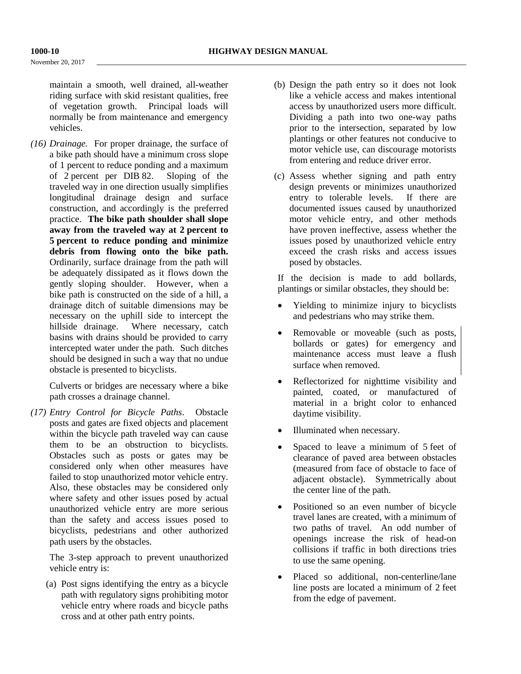November 20, 2017

maintain a smooth, well drained, all-weather riding surface with skid resistant qualities, free of vegetation growth. Principal loads will normally be from maintenance and emergency vehicles.

*(16) Drainage.* For proper drainage, the surface of a bike path should have a minimum cross slope of 1 percent to reduce ponding and a maximum of 2 percent per DIB 82. Sloping of the traveled way in one direction usually simplifies longitudinal drainage design and surface construction, and accordingly is the preferred practice. **The bike path shoulder shall slope away from the traveled way at 2 percent to 5 percent to reduce ponding and minimize debris from flowing onto the bike path.** Ordinarily, surface drainage from the path will be adequately dissipated as it flows down the gently sloping shoulder. However, when a bike path is constructed on the side of a hill, a drainage ditch of suitable dimensions may be necessary on the uphill side to intercept the hillside drainage. Where necessary, catch basins with drains should be provided to carry intercepted water under the path. Such ditches should be designed in such a way that no undue obstacle is presented to bicyclists.

Culverts or bridges are necessary where a bike path crosses a drainage channel.

*(17) Entry Control for Bicycle Paths*. Obstacle posts and gates are fixed objects and placement within the bicycle path traveled way can cause them to be an obstruction to bicyclists. Obstacles such as posts or gates may be considered only when other measures have failed to stop unauthorized motor vehicle entry. Also, these obstacles may be considered only where safety and other issues posed by actual unauthorized vehicle entry are more serious than the safety and access issues posed to bicyclists, pedestrians and other authorized path users by the obstacles.

The 3-step approach to prevent unauthorized vehicle entry is:

(a) Post signs identifying the entry as a bicycle path with regulatory signs prohibiting motor vehicle entry where roads and bicycle paths cross and at other path entry points.

- (b) Design the path entry so it does not look like a vehicle access and makes intentional access by unauthorized users more difficult. Dividing a path into two one-way paths prior to the intersection, separated by low plantings or other features not conducive to motor vehicle use, can discourage motorists from entering and reduce driver error.
- (c) Assess whether signing and path entry design prevents or minimizes unauthorized entry to tolerable levels. If there are documented issues caused by unauthorized motor vehicle entry, and other methods have proven ineffective, assess whether the issues posed by unauthorized vehicle entry exceed the crash risks and access issues posed by obstacles.

If the decision is made to add bollards, plantings or similar obstacles, they should be:

- Yielding to minimize injury to bicyclists and pedestrians who may strike them.
- Removable or moveable (such as posts, bollards or gates) for emergency and maintenance access must leave a flush surface when removed.
- Reflectorized for nighttime visibility and painted, coated, or manufactured of material in a bright color to enhanced daytime visibility.
- Illuminated when necessary.
- Spaced to leave a minimum of 5 feet of clearance of paved area between obstacles (measured from face of obstacle to face of adjacent obstacle). Symmetrically about the center line of the path.
- Positioned so an even number of bicycle travel lanes are created, with a minimum of two paths of travel. An odd number of openings increase the risk of head-on collisions if traffic in both directions tries to use the same opening.
- Placed so additional, non-centerline/lane line posts are located a minimum of 2 feet from the edge of pavement.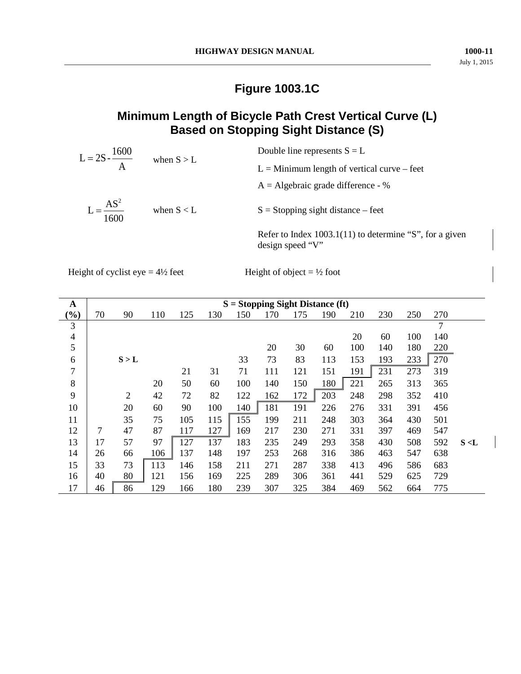# **Figure 1003.1C**

# **Minimum Length of Bicycle Path Crest Vertical Curve (L) Based on Stopping Sight Distance (S)**

| $L = 2S - \frac{1600}{A}$       | when $S > L$ | Double line represents $S = L$                                                |
|---------------------------------|--------------|-------------------------------------------------------------------------------|
|                                 |              | $L =$ Minimum length of vertical curve – feet                                 |
|                                 |              | $A =$ Algebraic grade difference - %                                          |
| $=$ $\frac{AS^2}{AS^2}$<br>1600 | when $S < L$ | $S =$ Stopping sight distance – feet                                          |
|                                 |              | Refer to Index $1003.1(11)$ to determine "S", for a given<br>design speed "V" |

Height of cyclist eye =  $4\frac{1}{2}$  feet Height of object =  $\frac{1}{2}$  foot

| A              | $S =$ Stopping Sight Distance (ft) |                |     |     |     |     |     |     |     |     |     |     |               |       |
|----------------|------------------------------------|----------------|-----|-----|-----|-----|-----|-----|-----|-----|-----|-----|---------------|-------|
| $\frac{9}{0}$  | 70                                 | 90             | 110 | 125 | 130 | 150 | 170 | 175 | 190 | 210 | 230 | 250 | 270           |       |
| 3              |                                    |                |     |     |     |     |     |     |     |     |     |     | $\mathcal{I}$ |       |
| $\overline{4}$ |                                    |                |     |     |     |     |     |     |     | 20  | 60  | 100 | 140           |       |
| 5              |                                    |                |     |     |     |     | 20  | 30  | 60  | 100 | 140 | 180 | 220           |       |
| 6              |                                    | S > L          |     |     |     | 33  | 73  | 83  | 113 | 153 | 193 | 233 | 270           |       |
| $\overline{7}$ |                                    |                |     | 21  | 31  | 71  | 111 | 121 | 151 | 191 | 231 | 273 | 319           |       |
| 8              |                                    |                | 20  | 50  | 60  | 100 | 140 | 150 | 180 | 221 | 265 | 313 | 365           |       |
| 9              |                                    | $\overline{2}$ | 42  | 72  | 82  | 122 | 162 | 172 | 203 | 248 | 298 | 352 | 410           |       |
| 10             |                                    | 20             | 60  | 90  | 100 | 140 | 181 | 191 | 226 | 276 | 331 | 391 | 456           |       |
| 11             |                                    | 35             | 75  | 105 | 115 | 155 | 199 | 211 | 248 | 303 | 364 | 430 | 501           |       |
| 12             | 7                                  | 47             | 87  | 117 | 127 | 169 | 217 | 230 | 271 | 331 | 397 | 469 | 547           |       |
| 13             | 17                                 | 57             | 97  | 127 | 137 | 183 | 235 | 249 | 293 | 358 | 430 | 508 | 592           | S < L |
| 14             | 26                                 | 66             | 106 | 137 | 148 | 197 | 253 | 268 | 316 | 386 | 463 | 547 | 638           |       |
| 15             | 33                                 | 73             | 113 | 146 | 158 | 211 | 271 | 287 | 338 | 413 | 496 | 586 | 683           |       |
| 16             | 40                                 | 80             | 121 | 156 | 169 | 225 | 289 | 306 | 361 | 441 | 529 | 625 | 729           |       |
| 17             | 46                                 | 86             | 129 | 166 | 180 | 239 | 307 | 325 | 384 | 469 | 562 | 664 | 775           |       |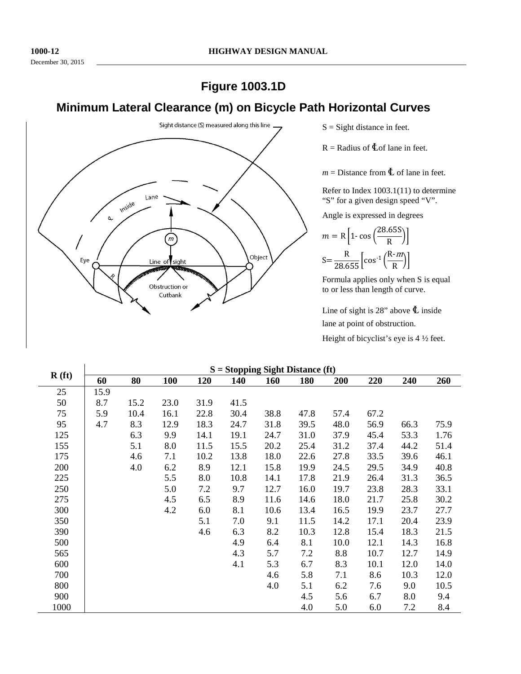# **Figure 1003.1D**

# **Minimum Lateral Clearance (m) on Bicycle Path Horizontal Curves**



 $S =$  Sight distance in feet.

 $R =$  Radius of  $\&$  of lane in feet.

 $m =$  Distance from  $\Phi$  of lane in feet.

Refer to Index 1003.1(11) to determine "S" for a given design speed "V".

Angle is expressed in degrees

$$
m = R \left[ 1 - \cos \left( \frac{28.65S}{R} \right) \right]
$$

$$
S = \frac{R}{28.655} \left[ \cos^{-1} \left( \frac{R - m}{R} \right) \right]
$$

Formula applies only when S is equal to or less than length of curve.

Line of sight is 28" above  $\Phi$  inside lane at point of obstruction.

Height of bicyclist's eye is 4 ½ feet.

| $\mathbf{R}$ (ft) | $S =$ Stopping Sight Distance (ft) |      |            |      |            |            |            |      |      |      |      |  |
|-------------------|------------------------------------|------|------------|------|------------|------------|------------|------|------|------|------|--|
|                   | 60                                 | 80   | <b>100</b> | 120  | <b>140</b> | <b>160</b> | <b>180</b> | 200  | 220  | 240  | 260  |  |
| 25                | 15.9                               |      |            |      |            |            |            |      |      |      |      |  |
| 50                | 8.7                                | 15.2 | 23.0       | 31.9 | 41.5       |            |            |      |      |      |      |  |
| 75                | 5.9                                | 10.4 | 16.1       | 22.8 | 30.4       | 38.8       | 47.8       | 57.4 | 67.2 |      |      |  |
| 95                | 4.7                                | 8.3  | 12.9       | 18.3 | 24.7       | 31.8       | 39.5       | 48.0 | 56.9 | 66.3 | 75.9 |  |
| 125               |                                    | 6.3  | 9.9        | 14.1 | 19.1       | 24.7       | 31.0       | 37.9 | 45.4 | 53.3 | 1.76 |  |
| 155               |                                    | 5.1  | 8.0        | 11.5 | 15.5       | 20.2       | 25.4       | 31.2 | 37.4 | 44.2 | 51.4 |  |
| 175               |                                    | 4.6  | 7.1        | 10.2 | 13.8       | 18.0       | 22.6       | 27.8 | 33.5 | 39.6 | 46.1 |  |
| 200               |                                    | 4.0  | 6.2        | 8.9  | 12.1       | 15.8       | 19.9       | 24.5 | 29.5 | 34.9 | 40.8 |  |
| 225               |                                    |      | 5.5        | 8.0  | 10.8       | 14.1       | 17.8       | 21.9 | 26.4 | 31.3 | 36.5 |  |
| 250               |                                    |      | 5.0        | 7.2  | 9.7        | 12.7       | 16.0       | 19.7 | 23.8 | 28.3 | 33.1 |  |
| 275               |                                    |      | 4.5        | 6.5  | 8.9        | 11.6       | 14.6       | 18.0 | 21.7 | 25.8 | 30.2 |  |
| 300               |                                    |      | 4.2        | 6.0  | 8.1        | 10.6       | 13.4       | 16.5 | 19.9 | 23.7 | 27.7 |  |
| 350               |                                    |      |            | 5.1  | 7.0        | 9.1        | 11.5       | 14.2 | 17.1 | 20.4 | 23.9 |  |
| 390               |                                    |      |            | 4.6  | 6.3        | 8.2        | 10.3       | 12.8 | 15.4 | 18.3 | 21.5 |  |
| 500               |                                    |      |            |      | 4.9        | 6.4        | 8.1        | 10.0 | 12.1 | 14.3 | 16.8 |  |
| 565               |                                    |      |            |      | 4.3        | 5.7        | 7.2        | 8.8  | 10.7 | 12.7 | 14.9 |  |
| 600               |                                    |      |            |      | 4.1        | 5.3        | 6.7        | 8.3  | 10.1 | 12.0 | 14.0 |  |
| 700               |                                    |      |            |      |            | 4.6        | 5.8        | 7.1  | 8.6  | 10.3 | 12.0 |  |
| 800               |                                    |      |            |      |            | 4.0        | 5.1        | 6.2  | 7.6  | 9.0  | 10.5 |  |
| 900               |                                    |      |            |      |            |            | 4.5        | 5.6  | 6.7  | 8.0  | 9.4  |  |
| 1000              |                                    |      |            |      |            |            | 4.0        | 5.0  | 6.0  | 7.2  | 8.4  |  |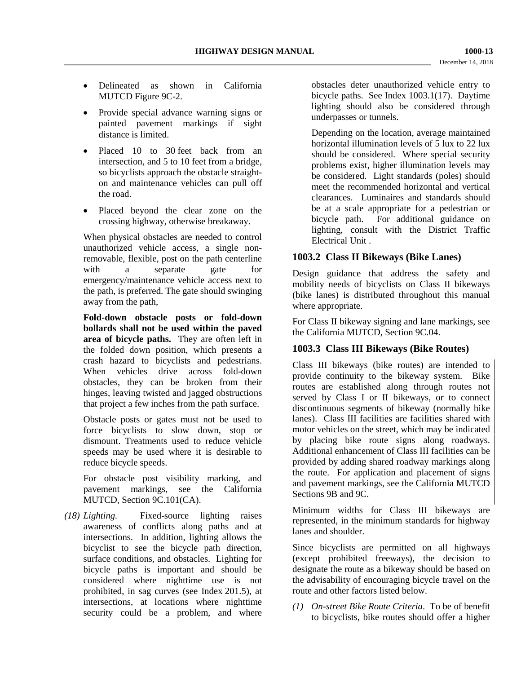- Delineated as shown in California MUTCD Figure 9C-2.
- Provide special advance warning signs or painted pavement markings if sight distance is limited.
- Placed 10 to 30 feet back from an intersection, and 5 to 10 feet from a bridge, so bicyclists approach the obstacle straighton and maintenance vehicles can pull off the road.
- Placed beyond the clear zone on the crossing highway, otherwise breakaway.

When physical obstacles are needed to control unauthorized vehicle access, a single nonremovable, flexible, post on the path centerline with a separate gate for emergency/maintenance vehicle access next to the path, is preferred. The gate should swinging away from the path,

**Fold-down obstacle posts or fold-down bollards shall not be used within the paved area of bicycle paths.** They are often left in the folded down position, which presents a crash hazard to bicyclists and pedestrians. When vehicles drive across fold-down obstacles, they can be broken from their hinges, leaving twisted and jagged obstructions that project a few inches from the path surface.

Obstacle posts or gates must not be used to force bicyclists to slow down, stop or dismount. Treatments used to reduce vehicle speeds may be used where it is desirable to reduce bicycle speeds.

For obstacle post visibility marking, and pavement markings, see the California MUTCD, Section 9C.101(CA).

*(18) Lighting.* Fixed-source lighting raises awareness of conflicts along paths and at intersections. In addition, lighting allows the bicyclist to see the bicycle path direction, surface conditions, and obstacles. Lighting for bicycle paths is important and should be considered where nighttime use is not prohibited, in sag curves (see Index 201.5), at intersections, at locations where nighttime security could be a problem, and where obstacles deter unauthorized vehicle entry to bicycle paths. See Index 1003.1(17). Daytime lighting should also be considered through underpasses or tunnels.

Depending on the location, average maintained horizontal illumination levels of 5 lux to 22 lux should be considered. Where special security problems exist, higher illumination levels may be considered. Light standards (poles) should meet the recommended horizontal and vertical clearances. Luminaires and standards should be at a scale appropriate for a pedestrian or bicycle path. For additional guidance on lighting, consult with the District Traffic Electrical Unit .

## **1003.2 Class II Bikeways (Bike Lanes)**

Design guidance that address the safety and mobility needs of bicyclists on Class II bikeways (bike lanes) is distributed throughout this manual where appropriate.

For Class II bikeway signing and lane markings, see the California MUTCD, Section 9C.04.

#### **1003.3 Class III Bikeways (Bike Routes)**

Class III bikeways (bike routes) are intended to provide continuity to the bikeway system. Bike routes are established along through routes not served by Class I or II bikeways, or to connect discontinuous segments of bikeway (normally bike lanes). Class III facilities are facilities shared with motor vehicles on the street, which may be indicated by placing bike route signs along roadways. Additional enhancement of Class III facilities can be provided by adding shared roadway markings along the route. For application and placement of signs and pavement markings, see the California MUTCD Sections 9B and 9C.

Minimum widths for Class III bikeways are represented, in the minimum standards for highway lanes and shoulder.

Since bicyclists are permitted on all highways (except prohibited freeways), the decision to designate the route as a bikeway should be based on the advisability of encouraging bicycle travel on the route and other factors listed below.

*(1) On-street Bike Route Criteria*. To be of benefit to bicyclists, bike routes should offer a higher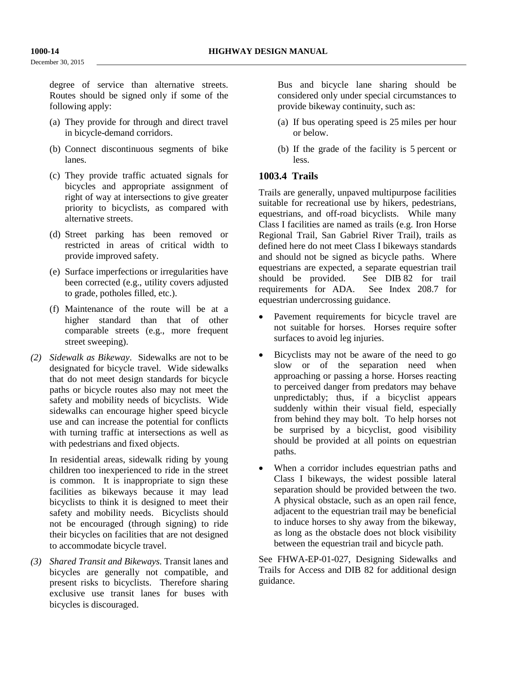December 30, 2015

degree of service than alternative streets. Routes should be signed only if some of the following apply:

- (a) They provide for through and direct travel in bicycle-demand corridors.
- (b) Connect discontinuous segments of bike lanes.
- (c) They provide traffic actuated signals for bicycles and appropriate assignment of right of way at intersections to give greater priority to bicyclists, as compared with alternative streets.
- (d) Street parking has been removed or restricted in areas of critical width to provide improved safety.
- (e) Surface imperfections or irregularities have been corrected (e.g., utility covers adjusted to grade, potholes filled, etc.).
- (f) Maintenance of the route will be at a higher standard than that of other comparable streets (e.g., more frequent street sweeping).
- *(2) Sidewalk as Bikeway*. Sidewalks are not to be designated for bicycle travel. Wide sidewalks that do not meet design standards for bicycle paths or bicycle routes also may not meet the safety and mobility needs of bicyclists. Wide sidewalks can encourage higher speed bicycle use and can increase the potential for conflicts with turning traffic at intersections as well as with pedestrians and fixed objects.

In residential areas, sidewalk riding by young children too inexperienced to ride in the street is common. It is inappropriate to sign these facilities as bikeways because it may lead bicyclists to think it is designed to meet their safety and mobility needs. Bicyclists should not be encouraged (through signing) to ride their bicycles on facilities that are not designed to accommodate bicycle travel.

*(3) Shared Transit and Bikeways.* Transit lanes and bicycles are generally not compatible, and present risks to bicyclists. Therefore sharing exclusive use transit lanes for buses with bicycles is discouraged.

Bus and bicycle lane sharing should be considered only under special circumstances to provide bikeway continuity, such as:

- (a) If bus operating speed is 25 miles per hour or below.
- (b) If the grade of the facility is 5 percent or less.

## **1003.4 Trails**

Trails are generally, unpaved multipurpose facilities suitable for recreational use by hikers, pedestrians, equestrians, and off-road bicyclists. While many Class I facilities are named as trails (e.g. Iron Horse Regional Trail, San Gabriel River Trail), trails as defined here do not meet Class I bikeways standards and should not be signed as bicycle paths. Where equestrians are expected, a separate equestrian trail should be provided. See DIB 82 for trail requirements for ADA. See Index 208.7 for equestrian undercrossing guidance.

- Pavement requirements for bicycle travel are not suitable for horses. Horses require softer surfaces to avoid leg injuries.
- Bicyclists may not be aware of the need to go slow or of the separation need when approaching or passing a horse. Horses reacting to perceived danger from predators may behave unpredictably; thus, if a bicyclist appears suddenly within their visual field, especially from behind they may bolt. To help horses not be surprised by a bicyclist, good visibility should be provided at all points on equestrian paths.
- When a corridor includes equestrian paths and Class I bikeways, the widest possible lateral separation should be provided between the two. A physical obstacle, such as an open rail fence, adjacent to the equestrian trail may be beneficial to induce horses to shy away from the bikeway, as long as the obstacle does not block visibility between the equestrian trail and bicycle path.

See FHWA-EP-01-027, Designing Sidewalks and Trails for Access and DIB 82 for additional design guidance.